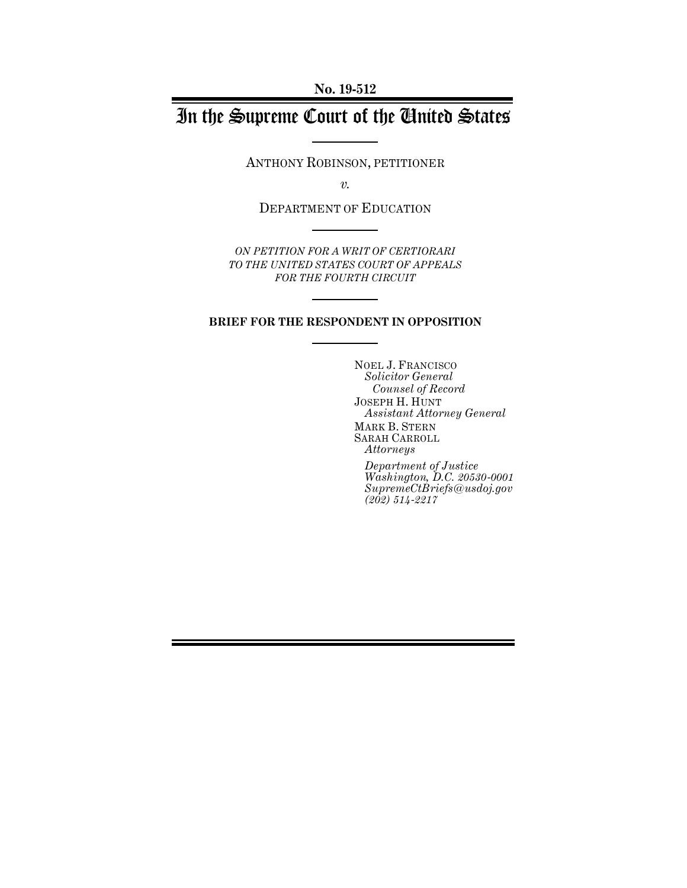**No. 19-512**

# In the Supreme Court of the United States

ANTHONY ROBINSON, PETITIONER

*v.*

DEPARTMENT OF EDUCATION

*ON PETITION FOR A WRIT OF CERTIORARI TO THE UNITED STATES COURT OF APPEALS FOR THE FOURTH CIRCUIT* 

### **BRIEF FOR THE RESPONDENT IN OPPOSITION**

NOEL J. FRANCISCO *Solicitor General Counsel of Record* JOSEPH H. HUNT *Assistant Attorney General* MARK B. STERN SARAH CARROLL *Attorneys*

*Department of Justice Washington, D.C. 20530-0001 SupremeCtBriefs@usdoj.gov (202) 514-2217*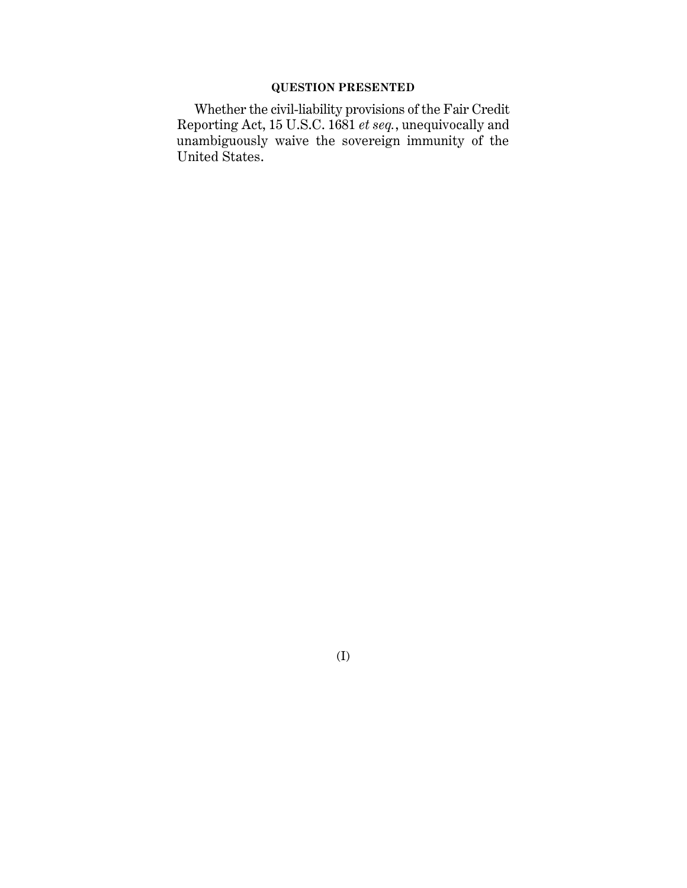### **QUESTION PRESENTED**

Whether the civil-liability provisions of the Fair Credit Reporting Act, 15 U.S.C. 1681 *et seq.*, unequivocally and unambiguously waive the sovereign immunity of the United States.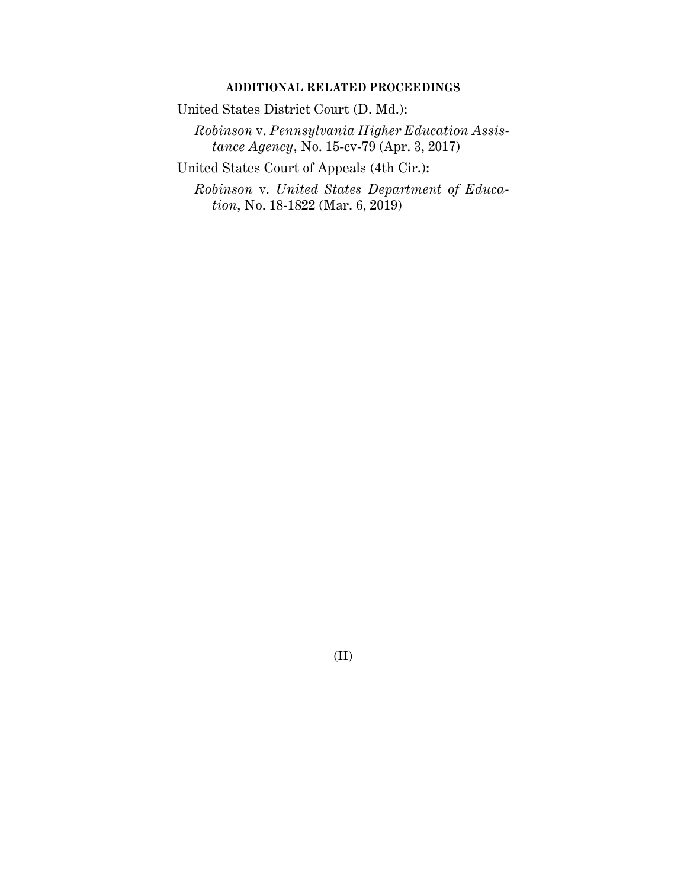### **ADDITIONAL RELATED PROCEEDINGS**

United States District Court (D. Md.):

*Robinson* v. *Pennsylvania Higher Education Assistance Agency*, No. 15-cv-79 (Apr. 3, 2017)

United States Court of Appeals (4th Cir.):

*Robinson* v. *United States Department of Education*, No. 18-1822 (Mar. 6, 2019)

(II)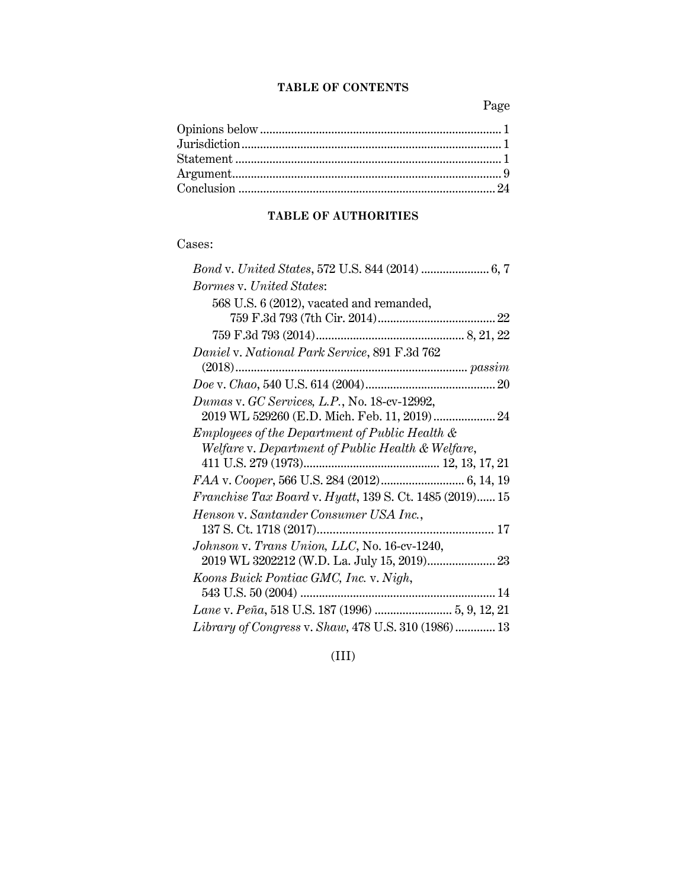### **TABLE OF CONTENTS**

Page

### **TABLE OF AUTHORITIES**

### Cases:

| <b>Bormes v. United States:</b>                                |
|----------------------------------------------------------------|
| 568 U.S. 6 (2012), vacated and remanded,                       |
|                                                                |
|                                                                |
| Daniel v. National Park Service, 891 F.3d 762                  |
|                                                                |
|                                                                |
| Dumas v. GC Services, L.P., No. 18-cv-12992,                   |
| 2019 WL 529260 (E.D. Mich. Feb. 11, 2019)  24                  |
| Employees of the Department of Public Health &                 |
| Welfare v. Department of Public Health & Welfare,              |
|                                                                |
|                                                                |
| <i>Franchise Tax Board v. Hyatt, 139 S. Ct. 1485 (2019) 15</i> |
| Henson v. Santander Consumer USA Inc.,                         |
|                                                                |
| Johnson v. Trans Union, LLC, No. 16-cv-1240,                   |
|                                                                |
| Koons Buick Pontiac GMC, Inc. v. Nigh,                         |
|                                                                |
|                                                                |
| Library of Congress v. Shaw, 478 U.S. 310 (1986)  13           |

(III)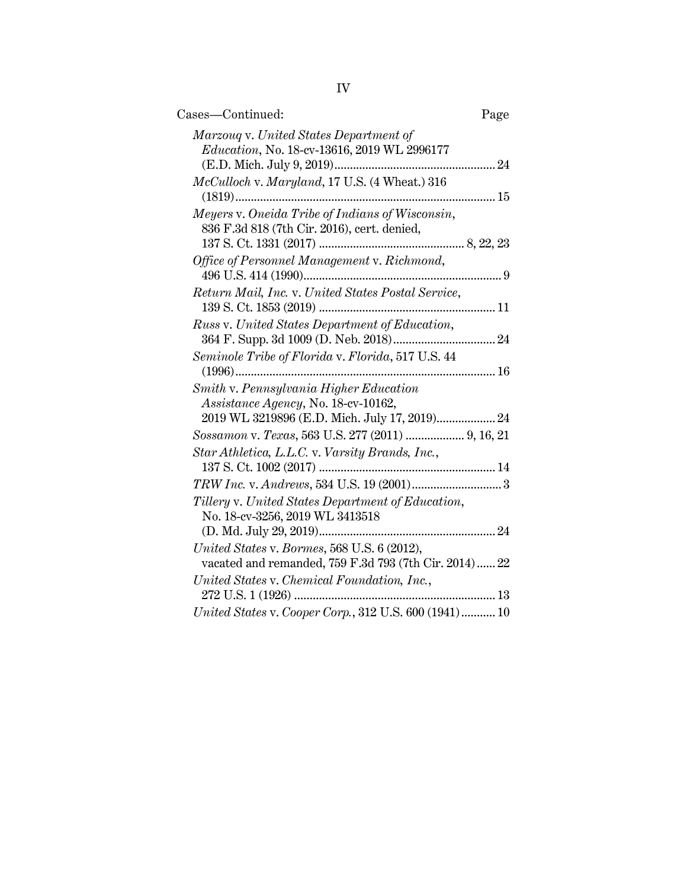| Cases—Continued:                                                                                                               | Page |
|--------------------------------------------------------------------------------------------------------------------------------|------|
| Marzoug v. United States Department of<br>Education, No. 18-cv-13616, 2019 WL 2996177                                          |      |
| McCulloch v. Maryland, 17 U.S. (4 Wheat.) 316                                                                                  |      |
| Meyers v. Oneida Tribe of Indians of Wisconsin,<br>836 F.3d 818 (7th Cir. 2016), cert. denied,                                 |      |
| Office of Personnel Management v. Richmond,                                                                                    |      |
| Return Mail, Inc. v. United States Postal Service,                                                                             |      |
| Russ v. United States Department of Education,                                                                                 |      |
| Seminole Tribe of Florida v. Florida, 517 U.S. 44                                                                              |      |
| $(1996)$                                                                                                                       |      |
| Smith v. Pennsylvania Higher Education<br>Assistance Agency, No. 18-cv-10162,<br>2019 WL 3219896 (E.D. Mich. July 17, 2019) 24 |      |
| Sossamon v. Texas, 563 U.S. 277 (2011)  9, 16, 21                                                                              |      |
| Star Athletica, L.L.C. v. Varsity Brands, Inc.,                                                                                |      |
|                                                                                                                                |      |
| Tillery v. United States Department of Education,<br>No. 18-cv-3256, 2019 WL 3413518                                           |      |
|                                                                                                                                |      |
| United States v. Bormes, 568 U.S. 6 (2012),<br>vacated and remanded, 759 F.3d 793 (7th Cir. 2014) 22                           |      |
| United States v. Chemical Foundation, Inc.,                                                                                    |      |
| United States v. Cooper Corp., 312 U.S. 600 (1941) 10                                                                          |      |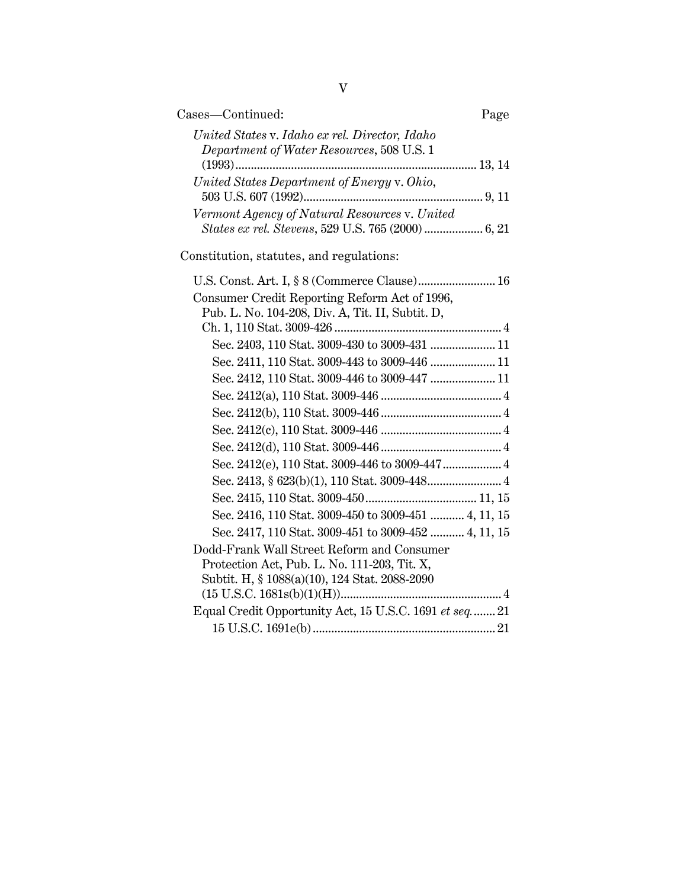| Cases-Continued:<br>Page                                                                    |
|---------------------------------------------------------------------------------------------|
| United States v. Idaho ex rel. Director, Idaho<br>Department of Water Resources, 508 U.S. 1 |
|                                                                                             |
| United States Department of Energy v. Ohio,                                                 |
|                                                                                             |
| Vermont Agency of Natural Resources v. United                                               |
| States ex rel. Stevens, 529 U.S. 765 (2000)  6, 21                                          |
| Constitution, statutes, and regulations:                                                    |
| U.S. Const. Art. I, § 8 (Commerce Clause) 16                                                |
| Consumer Credit Reporting Reform Act of 1996,                                               |
| Pub. L. No. 104-208, Div. A, Tit. II, Subtit. D,                                            |
|                                                                                             |
| Sec. 2403, 110 Stat. 3009-430 to 3009-431  11                                               |
|                                                                                             |
|                                                                                             |
|                                                                                             |
|                                                                                             |
|                                                                                             |
|                                                                                             |
|                                                                                             |
|                                                                                             |
|                                                                                             |
| Sec. 2416, 110 Stat. 3009-450 to 3009-451  4, 11, 15                                        |
| Sec. 2417, 110 Stat. 3009-451 to 3009-452  4, 11, 15                                        |
| Dodd-Frank Wall Street Reform and Consumer                                                  |
| Protection Act, Pub. L. No. 111-203, Tit. X,                                                |
| Subtit. H, § 1088(a)(10), 124 Stat. 2088-2090                                               |
|                                                                                             |
| Equal Credit Opportunity Act, 15 U.S.C. 1691 et seq 21                                      |
|                                                                                             |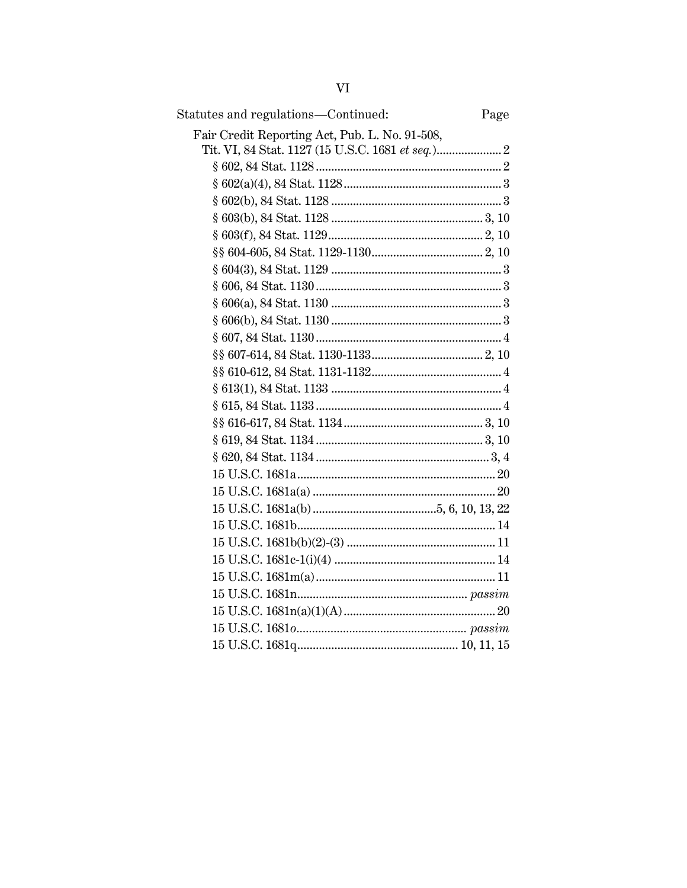| Statutes and regulations-Continued:                      | Page |
|----------------------------------------------------------|------|
| Fair Credit Reporting Act, Pub. L. No. 91-508,           |      |
|                                                          |      |
|                                                          |      |
| $§ 602(a)(4), 84 \text{ Stat. } 1128 \dots 128 \dots 13$ |      |
|                                                          |      |
|                                                          |      |
|                                                          |      |
|                                                          |      |
| $§ 604(3), 84 \text{ Stat. } 1129 \dots 13$              |      |
|                                                          |      |
|                                                          |      |
|                                                          |      |
|                                                          |      |
|                                                          |      |
|                                                          |      |
|                                                          |      |
|                                                          |      |
|                                                          |      |
|                                                          |      |
|                                                          |      |
|                                                          |      |
|                                                          |      |
|                                                          |      |
|                                                          |      |
|                                                          |      |
|                                                          |      |
|                                                          |      |
|                                                          |      |
|                                                          |      |
|                                                          |      |
|                                                          |      |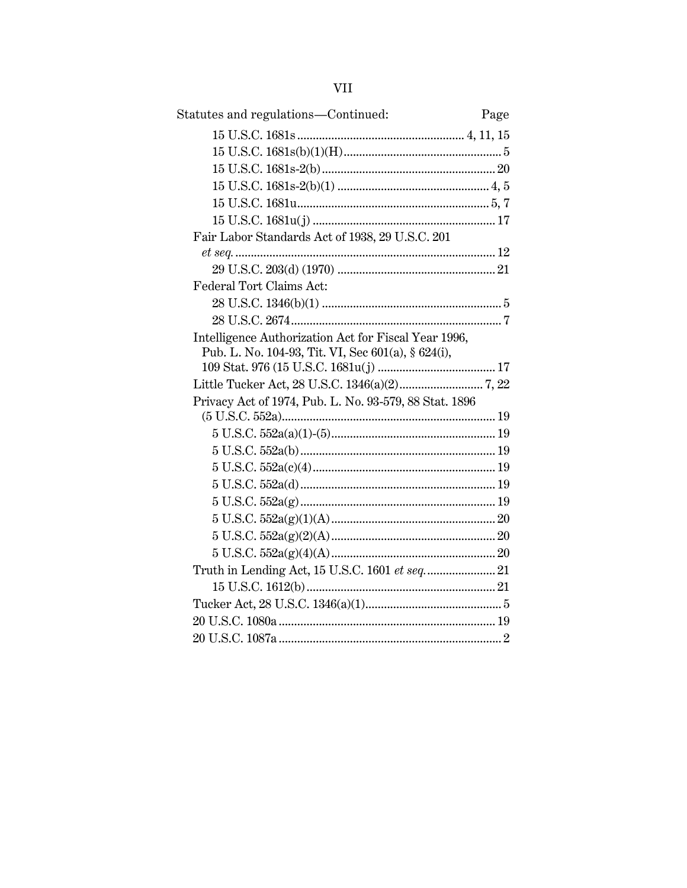| ٠ | ×, | ×, |
|---|----|----|
|   |    |    |

| Statutes and regulations-Continued:                                                                        | Page |
|------------------------------------------------------------------------------------------------------------|------|
|                                                                                                            |      |
|                                                                                                            |      |
|                                                                                                            |      |
|                                                                                                            |      |
|                                                                                                            |      |
|                                                                                                            |      |
| Fair Labor Standards Act of 1938, 29 U.S.C. 201                                                            |      |
|                                                                                                            |      |
|                                                                                                            |      |
| Federal Tort Claims Act:                                                                                   |      |
|                                                                                                            |      |
|                                                                                                            |      |
| Intelligence Authorization Act for Fiscal Year 1996,<br>Pub. L. No. 104-93, Tit. VI, Sec 601(a), § 624(i), |      |
|                                                                                                            |      |
|                                                                                                            |      |
| Privacy Act of 1974, Pub. L. No. 93-579, 88 Stat. 1896                                                     |      |
|                                                                                                            |      |
|                                                                                                            |      |
|                                                                                                            |      |
|                                                                                                            |      |
|                                                                                                            |      |
|                                                                                                            |      |
|                                                                                                            |      |
|                                                                                                            |      |
|                                                                                                            |      |
|                                                                                                            |      |
|                                                                                                            |      |
|                                                                                                            |      |
|                                                                                                            |      |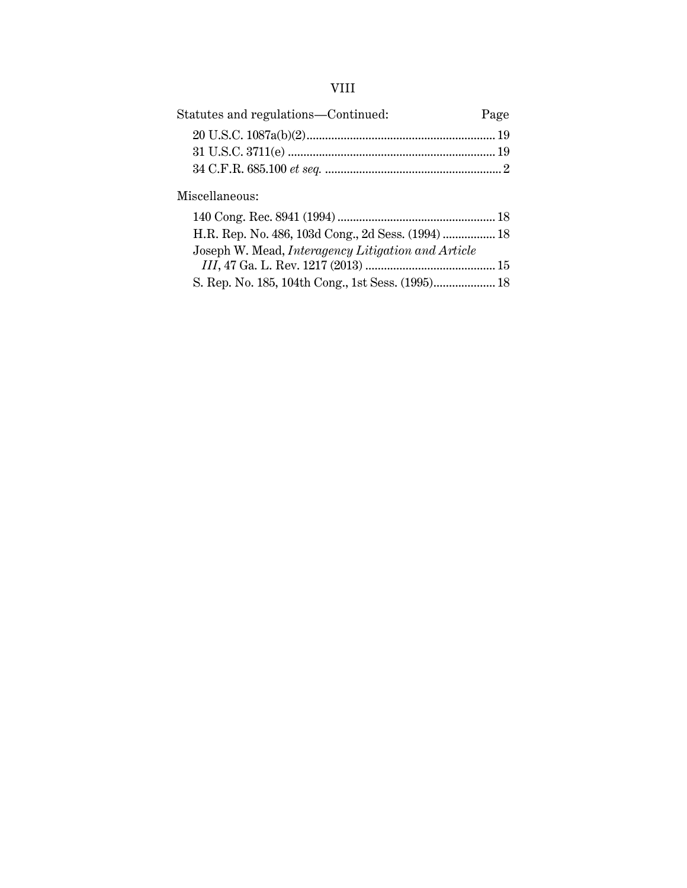## VIII

| Statutes and regulations-Continued: | Page |
|-------------------------------------|------|
|                                     |      |
|                                     |      |
|                                     |      |

### Miscellaneous:

| H.R. Rep. No. 486, 103d Cong., 2d Sess. (1994)  18 |  |
|----------------------------------------------------|--|
| Joseph W. Mead, Interagency Litigation and Article |  |
|                                                    |  |
|                                                    |  |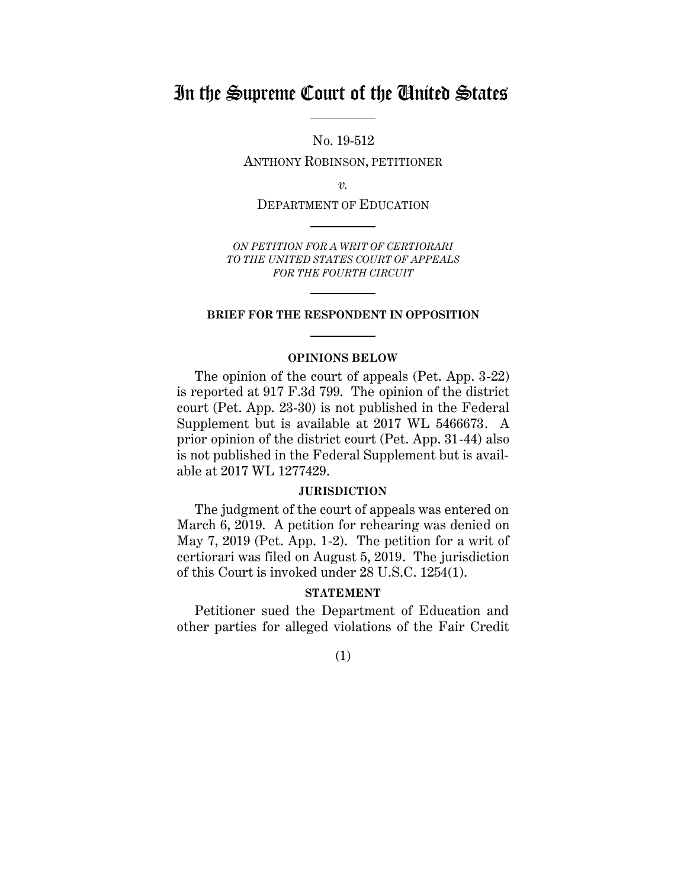# In the Supreme Court of the United States

No. 19-512

ANTHONY ROBINSON, PETITIONER

*v.*

DEPARTMENT OF EDUCATION

*ON PETITION FOR A WRIT OF CERTIORARI TO THE UNITED STATES COURT OF APPEALS FOR THE FOURTH CIRCUIT* 

#### **BRIEF FOR THE RESPONDENT IN OPPOSITION**

#### **OPINIONS BELOW**

The opinion of the court of appeals (Pet. App. 3-22) is reported at 917 F.3d 799. The opinion of the district court (Pet. App. 23-30) is not published in the Federal Supplement but is available at 2017 WL 5466673. A prior opinion of the district court (Pet. App. 31-44) also is not published in the Federal Supplement but is available at 2017 WL 1277429.

#### **JURISDICTION**

The judgment of the court of appeals was entered on March 6, 2019. A petition for rehearing was denied on May 7, 2019 (Pet. App. 1-2). The petition for a writ of certiorari was filed on August 5, 2019. The jurisdiction of this Court is invoked under 28 U.S.C. 1254(1).

### **STATEMENT**

Petitioner sued the Department of Education and other parties for alleged violations of the Fair Credit

(1)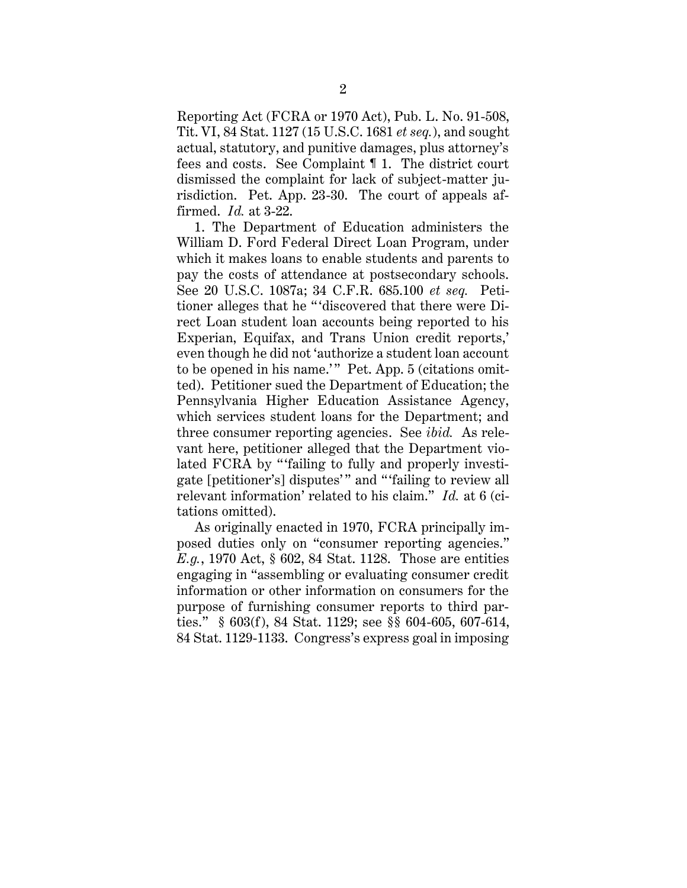Reporting Act (FCRA or 1970 Act), Pub. L. No. 91-508, Tit. VI, 84 Stat. 1127 (15 U.S.C. 1681 *et seq.*), and sought actual, statutory, and punitive damages, plus attorney's fees and costs. See Complaint ¶ 1. The district court dismissed the complaint for lack of subject-matter jurisdiction. Pet. App. 23-30. The court of appeals affirmed. *Id.* at 3-22.

1. The Department of Education administers the William D. Ford Federal Direct Loan Program, under which it makes loans to enable students and parents to pay the costs of attendance at postsecondary schools. See 20 U.S.C. 1087a; 34 C.F.R. 685.100 *et seq.* Petitioner alleges that he "'discovered that there were Direct Loan student loan accounts being reported to his Experian, Equifax, and Trans Union credit reports,' even though he did not 'authorize a student loan account to be opened in his name.'" Pet. App. 5 (citations omitted). Petitioner sued the Department of Education; the Pennsylvania Higher Education Assistance Agency, which services student loans for the Department; and three consumer reporting agencies. See *ibid.* As relevant here, petitioner alleged that the Department violated FCRA by "'failing to fully and properly investigate [petitioner's] disputes' " and " 'failing to review all relevant information' related to his claim." *Id.* at 6 (citations omitted).

As originally enacted in 1970, FCRA principally imposed duties only on "consumer reporting agencies." *E.g.*, 1970 Act, § 602, 84 Stat. 1128. Those are entities engaging in "assembling or evaluating consumer credit information or other information on consumers for the purpose of furnishing consumer reports to third parties." § 603(f), 84 Stat. 1129; see §§ 604-605, 607-614, 84 Stat. 1129-1133. Congress's express goal in imposing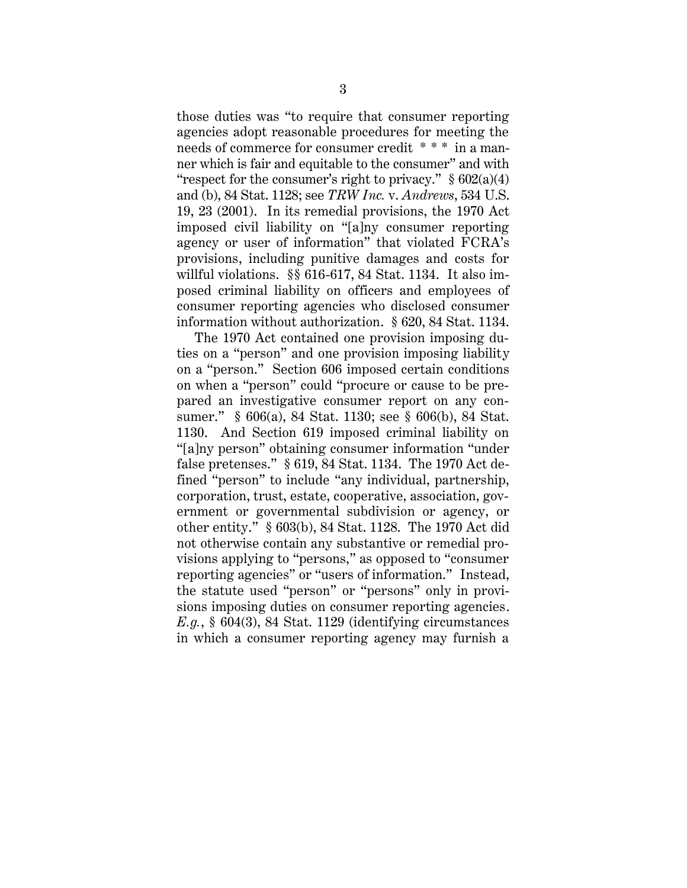those duties was "to require that consumer reporting agencies adopt reasonable procedures for meeting the needs of commerce for consumer credit \* \* \* in a manner which is fair and equitable to the consumer" and with "respect for the consumer's right to privacy."  $\S 602(a)(4)$ and (b), 84 Stat. 1128; see *TRW Inc.* v. *Andrews*, 534 U.S. 19, 23 (2001). In its remedial provisions, the 1970 Act imposed civil liability on "[a]ny consumer reporting agency or user of information" that violated FCRA's provisions, including punitive damages and costs for willful violations. §§ 616-617, 84 Stat. 1134. It also imposed criminal liability on officers and employees of consumer reporting agencies who disclosed consumer information without authorization. § 620, 84 Stat. 1134.

The 1970 Act contained one provision imposing duties on a "person" and one provision imposing liability on a "person." Section 606 imposed certain conditions on when a "person" could "procure or cause to be prepared an investigative consumer report on any consumer." § 606(a), 84 Stat. 1130; see § 606(b), 84 Stat. 1130. And Section 619 imposed criminal liability on "[a]ny person" obtaining consumer information "under false pretenses." § 619, 84 Stat. 1134. The 1970 Act defined "person" to include "any individual, partnership, corporation, trust, estate, cooperative, association, government or governmental subdivision or agency, or other entity." § 603(b), 84 Stat. 1128. The 1970 Act did not otherwise contain any substantive or remedial provisions applying to "persons," as opposed to "consumer reporting agencies" or "users of information." Instead, the statute used "person" or "persons" only in provisions imposing duties on consumer reporting agencies. *E.g.*, § 604(3), 84 Stat. 1129 (identifying circumstances in which a consumer reporting agency may furnish a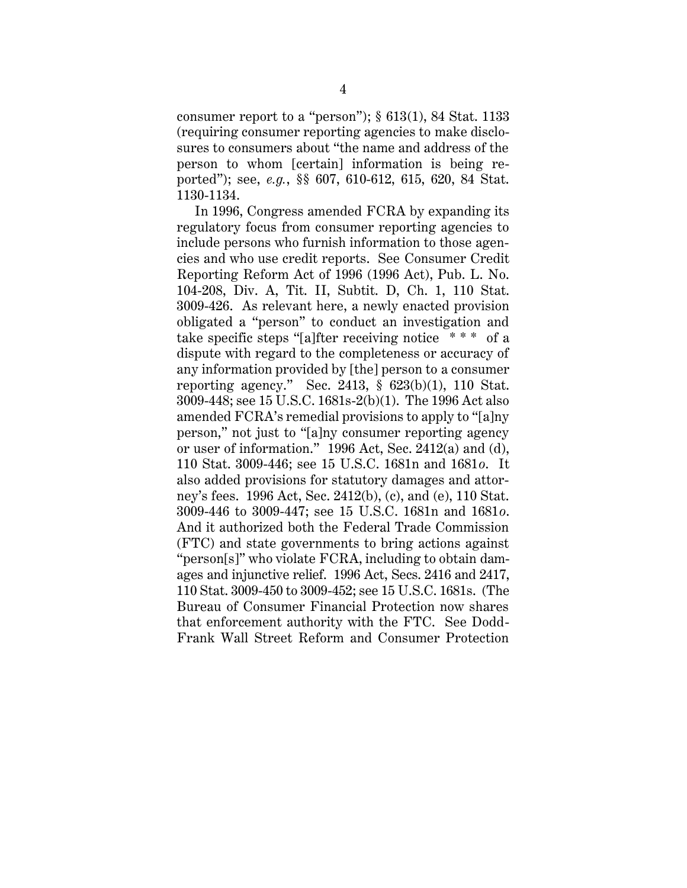consumer report to a "person");  $\S 613(1)$ , 84 Stat. 1133 (requiring consumer reporting agencies to make disclosures to consumers about "the name and address of the person to whom [certain] information is being reported"); see, *e.g.*, §§ 607, 610-612, 615, 620, 84 Stat. 1130-1134.

In 1996, Congress amended FCRA by expanding its regulatory focus from consumer reporting agencies to include persons who furnish information to those agencies and who use credit reports. See Consumer Credit Reporting Reform Act of 1996 (1996 Act), Pub. L. No. 104-208, Div. A, Tit. II, Subtit. D, Ch. 1, 110 Stat. 3009-426. As relevant here, a newly enacted provision obligated a "person" to conduct an investigation and take specific steps "[a]fter receiving notice \* \* \* of a dispute with regard to the completeness or accuracy of any information provided by [the] person to a consumer reporting agency." Sec. 2413, § 623(b)(1), 110 Stat. 3009-448; see 15 U.S.C. 1681s-2(b)(1). The 1996 Act also amended FCRA's remedial provisions to apply to "[a]ny person," not just to "[a]ny consumer reporting agency or user of information." 1996 Act, Sec. 2412(a) and (d), 110 Stat. 3009-446; see 15 U.S.C. 1681n and 1681*o*. It also added provisions for statutory damages and attorney's fees. 1996 Act, Sec. 2412(b), (c), and (e), 110 Stat. 3009-446 to 3009-447; see 15 U.S.C. 1681n and 1681*o*. And it authorized both the Federal Trade Commission (FTC) and state governments to bring actions against "person[s]" who violate FCRA, including to obtain damages and injunctive relief. 1996 Act, Secs. 2416 and 2417, 110 Stat. 3009-450 to 3009-452; see 15 U.S.C. 1681s. (The Bureau of Consumer Financial Protection now shares that enforcement authority with the FTC. See Dodd-Frank Wall Street Reform and Consumer Protection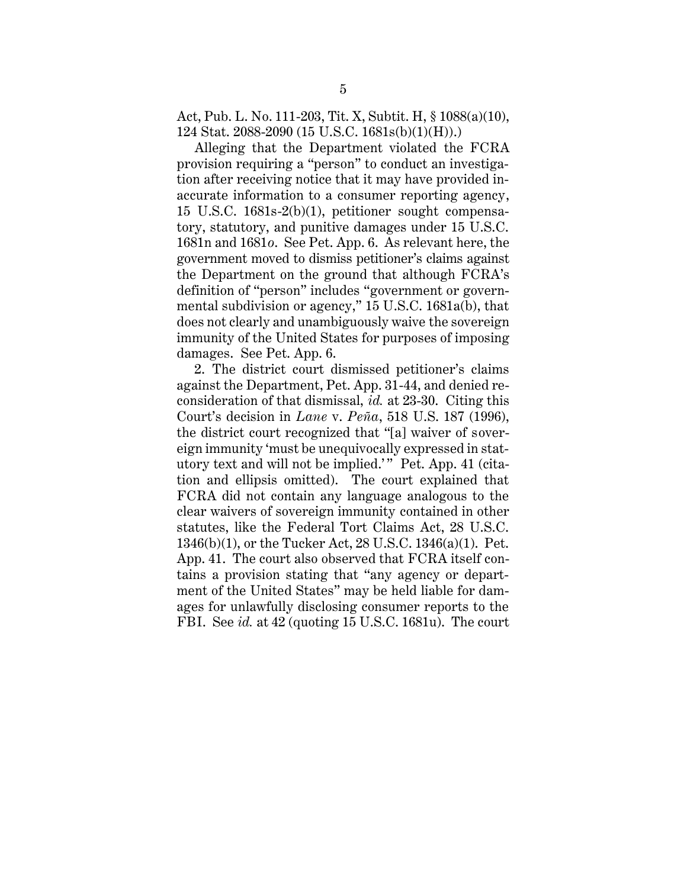Act, Pub. L. No. 111-203, Tit. X, Subtit. H, § 1088(a)(10), 124 Stat. 2088-2090 (15 U.S.C. 1681s(b)(1)(H)).)

Alleging that the Department violated the FCRA provision requiring a "person" to conduct an investigation after receiving notice that it may have provided inaccurate information to a consumer reporting agency, 15 U.S.C. 1681s-2(b)(1), petitioner sought compensatory, statutory, and punitive damages under 15 U.S.C. 1681n and 1681*o*. See Pet. App. 6. As relevant here, the government moved to dismiss petitioner's claims against the Department on the ground that although FCRA's definition of "person" includes "government or governmental subdivision or agency," 15 U.S.C. 1681a(b), that does not clearly and unambiguously waive the sovereign immunity of the United States for purposes of imposing damages. See Pet. App. 6.

2. The district court dismissed petitioner's claims against the Department, Pet. App. 31-44, and denied reconsideration of that dismissal, *id.* at 23-30. Citing this Court's decision in *Lane* v. *Peña*, 518 U.S. 187 (1996), the district court recognized that "[a] waiver of sovereign immunity 'must be unequivocally expressed in statutory text and will not be implied.'" Pet. App. 41 (citation and ellipsis omitted). The court explained that FCRA did not contain any language analogous to the clear waivers of sovereign immunity contained in other statutes, like the Federal Tort Claims Act, 28 U.S.C. 1346(b)(1), or the Tucker Act, 28 U.S.C. 1346(a)(1). Pet. App. 41. The court also observed that FCRA itself contains a provision stating that "any agency or department of the United States" may be held liable for damages for unlawfully disclosing consumer reports to the FBI. See *id.* at 42 (quoting 15 U.S.C. 1681u). The court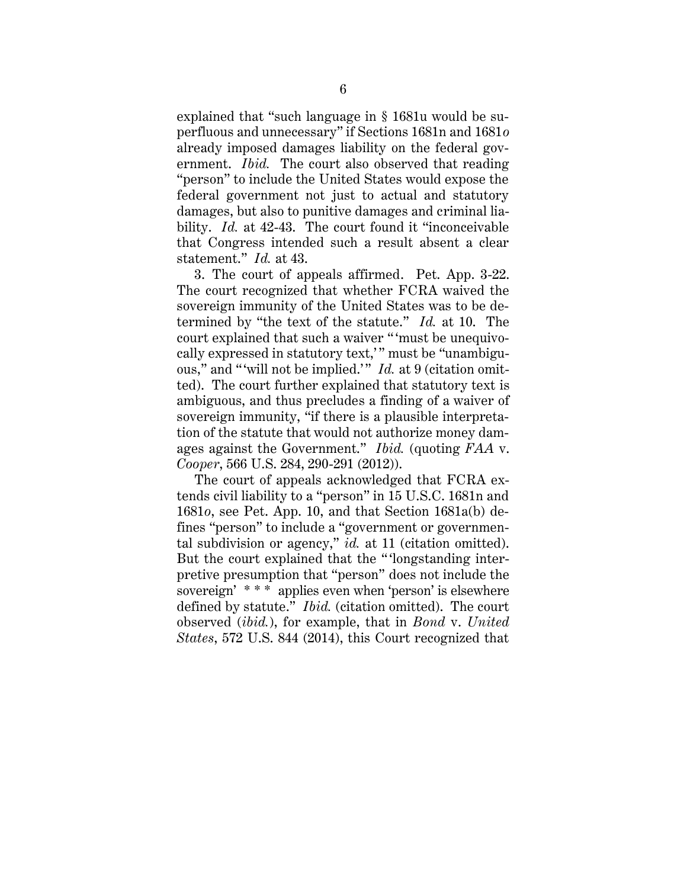explained that "such language in § 1681u would be superfluous and unnecessary" if Sections 1681n and 1681*o* already imposed damages liability on the federal government. *Ibid.* The court also observed that reading "person" to include the United States would expose the federal government not just to actual and statutory damages, but also to punitive damages and criminal liability. *Id.* at 42-43. The court found it "inconceivable" that Congress intended such a result absent a clear statement." *Id.* at 43.

3. The court of appeals affirmed. Pet. App. 3-22. The court recognized that whether FCRA waived the sovereign immunity of the United States was to be determined by "the text of the statute." *Id.* at 10. The court explained that such a waiver " 'must be unequivocally expressed in statutory text," must be "unambiguous," and "will not be implied." *Id.* at 9 (citation omitted). The court further explained that statutory text is ambiguous, and thus precludes a finding of a waiver of sovereign immunity, "if there is a plausible interpretation of the statute that would not authorize money damages against the Government." *Ibid.* (quoting *FAA* v. *Cooper*, 566 U.S. 284, 290-291 (2012)).

The court of appeals acknowledged that FCRA extends civil liability to a "person" in 15 U.S.C. 1681n and 1681*o*, see Pet. App. 10, and that Section 1681a(b) defines "person" to include a "government or governmental subdivision or agency," *id.* at 11 (citation omitted). But the court explained that the " 'longstanding interpretive presumption that "person" does not include the sovereign' \* \* \* applies even when 'person' is elsewhere defined by statute." *Ibid.* (citation omitted). The court observed (*ibid.*), for example, that in *Bond* v. *United States*, 572 U.S. 844 (2014), this Court recognized that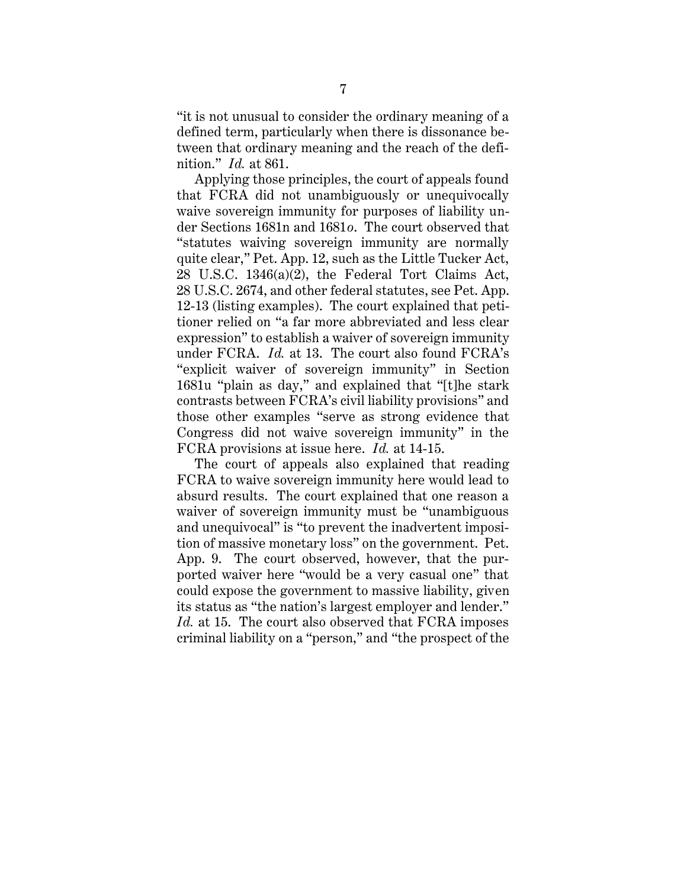"it is not unusual to consider the ordinary meaning of a defined term, particularly when there is dissonance between that ordinary meaning and the reach of the definition." *Id.* at 861.

Applying those principles, the court of appeals found that FCRA did not unambiguously or unequivocally waive sovereign immunity for purposes of liability under Sections 1681n and 1681*o*. The court observed that "statutes waiving sovereign immunity are normally quite clear," Pet. App. 12, such as the Little Tucker Act, 28 U.S.C. 1346(a)(2), the Federal Tort Claims Act, 28 U.S.C. 2674, and other federal statutes, see Pet. App. 12-13 (listing examples). The court explained that petitioner relied on "a far more abbreviated and less clear expression" to establish a waiver of sovereign immunity under FCRA. *Id.* at 13. The court also found FCRA's "explicit waiver of sovereign immunity" in Section 1681u "plain as day," and explained that "[t]he stark contrasts between FCRA's civil liability provisions" and those other examples "serve as strong evidence that Congress did not waive sovereign immunity" in the FCRA provisions at issue here. *Id.* at 14-15.

The court of appeals also explained that reading FCRA to waive sovereign immunity here would lead to absurd results. The court explained that one reason a waiver of sovereign immunity must be "unambiguous and unequivocal" is "to prevent the inadvertent imposition of massive monetary loss" on the government. Pet. App. 9. The court observed, however, that the purported waiver here "would be a very casual one" that could expose the government to massive liability, given its status as "the nation's largest employer and lender." *Id.* at 15. The court also observed that FCRA imposes criminal liability on a "person," and "the prospect of the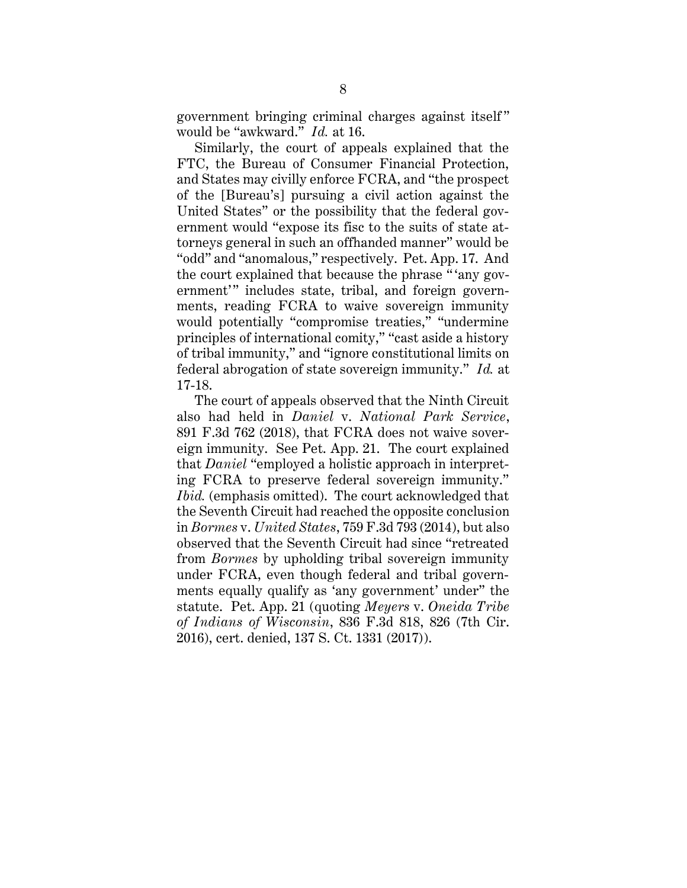government bringing criminal charges against itself " would be "awkward." *Id.* at 16.

Similarly, the court of appeals explained that the FTC, the Bureau of Consumer Financial Protection, and States may civilly enforce FCRA, and "the prospect of the [Bureau's] pursuing a civil action against the United States" or the possibility that the federal government would "expose its fisc to the suits of state attorneys general in such an offhanded manner" would be "odd" and "anomalous," respectively. Pet. App. 17. And the court explained that because the phrase " 'any government'" includes state, tribal, and foreign governments, reading FCRA to waive sovereign immunity would potentially "compromise treaties," "undermine principles of international comity," "cast aside a history of tribal immunity," and "ignore constitutional limits on federal abrogation of state sovereign immunity." *Id.* at 17-18.

The court of appeals observed that the Ninth Circuit also had held in *Daniel* v. *National Park Service*, 891 F.3d 762 (2018), that FCRA does not waive sovereign immunity. See Pet. App. 21. The court explained that *Daniel* "employed a holistic approach in interpreting FCRA to preserve federal sovereign immunity." *Ibid.* (emphasis omitted). The court acknowledged that the Seventh Circuit had reached the opposite conclusion in *Bormes* v. *United States*, 759 F.3d 793 (2014), but also observed that the Seventh Circuit had since "retreated from *Bormes* by upholding tribal sovereign immunity under FCRA, even though federal and tribal governments equally qualify as 'any government' under" the statute. Pet. App. 21 (quoting *Meyers* v. *Oneida Tribe of Indians of Wisconsin*, 836 F.3d 818, 826 (7th Cir. 2016), cert. denied, 137 S. Ct. 1331 (2017)).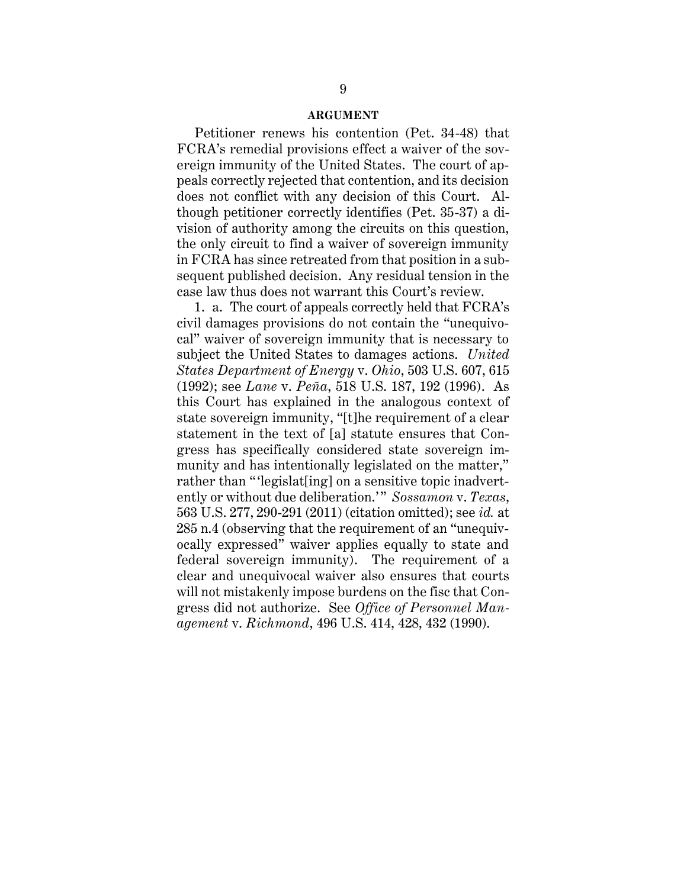#### **ARGUMENT**

Petitioner renews his contention (Pet. 34-48) that FCRA's remedial provisions effect a waiver of the sovereign immunity of the United States. The court of appeals correctly rejected that contention, and its decision does not conflict with any decision of this Court. Although petitioner correctly identifies (Pet. 35-37) a division of authority among the circuits on this question, the only circuit to find a waiver of sovereign immunity in FCRA has since retreated from that position in a subsequent published decision. Any residual tension in the case law thus does not warrant this Court's review.

1. a. The court of appeals correctly held that FCRA's civil damages provisions do not contain the "unequivocal" waiver of sovereign immunity that is necessary to subject the United States to damages actions. *United States Department of Energy* v. *Ohio*, 503 U.S. 607, 615 (1992); see *Lane* v. *Peña*, 518 U.S. 187, 192 (1996). As this Court has explained in the analogous context of state sovereign immunity, "[t]he requirement of a clear statement in the text of [a] statute ensures that Congress has specifically considered state sovereign immunity and has intentionally legislated on the matter," rather than "'legislat[ing] on a sensitive topic inadvertently or without due deliberation." *Sossamon v. Texas*, 563 U.S. 277, 290-291 (2011) (citation omitted); see *id.* at 285 n.4 (observing that the requirement of an "unequivocally expressed" waiver applies equally to state and federal sovereign immunity). The requirement of a clear and unequivocal waiver also ensures that courts will not mistakenly impose burdens on the fisc that Congress did not authorize. See *Office of Personnel Management* v. *Richmond*, 496 U.S. 414, 428, 432 (1990).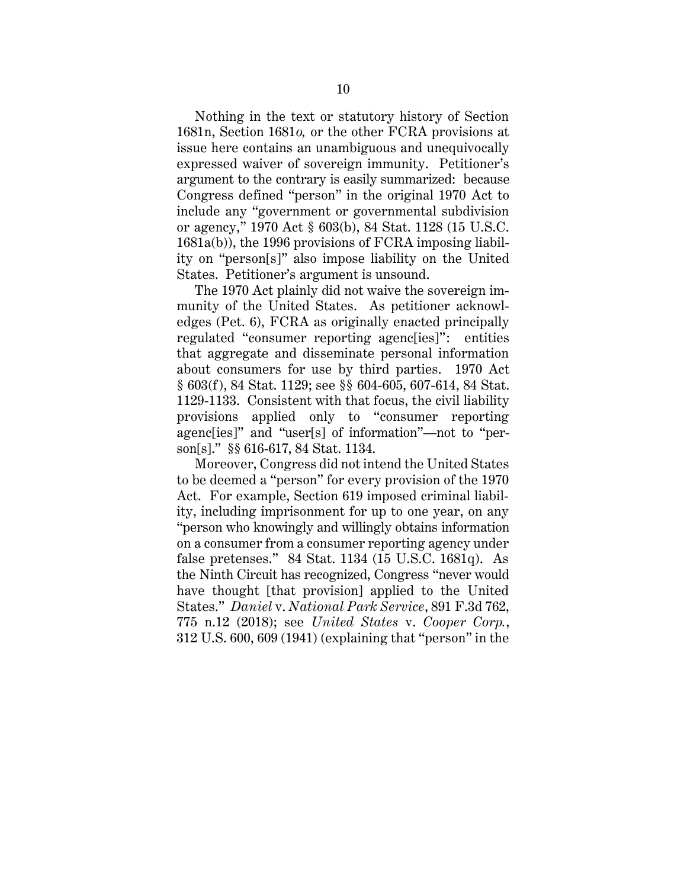Nothing in the text or statutory history of Section 1681n, Section 1681*o,* or the other FCRA provisions at issue here contains an unambiguous and unequivocally expressed waiver of sovereign immunity. Petitioner's argument to the contrary is easily summarized: because Congress defined "person" in the original 1970 Act to include any "government or governmental subdivision or agency," 1970 Act § 603(b), 84 Stat. 1128 (15 U.S.C. 1681a(b)), the 1996 provisions of FCRA imposing liability on "person[s]" also impose liability on the United States. Petitioner's argument is unsound.

The 1970 Act plainly did not waive the sovereign immunity of the United States. As petitioner acknowledges (Pet. 6), FCRA as originally enacted principally regulated "consumer reporting agenc[ies]": entities that aggregate and disseminate personal information about consumers for use by third parties. 1970 Act § 603(f), 84 Stat. 1129; see §§ 604-605, 607-614, 84 Stat. 1129-1133. Consistent with that focus, the civil liability provisions applied only to "consumer reporting agenc[ies]" and "user[s] of information"—not to "person[s]." §§ 616-617, 84 Stat. 1134.

Moreover, Congress did not intend the United States to be deemed a "person" for every provision of the 1970 Act. For example, Section 619 imposed criminal liability, including imprisonment for up to one year, on any "person who knowingly and willingly obtains information on a consumer from a consumer reporting agency under false pretenses." 84 Stat. 1134 (15 U.S.C. 1681q). As the Ninth Circuit has recognized, Congress "never would have thought [that provision] applied to the United States." *Daniel* v. *National Park Service*, 891 F.3d 762, 775 n.12 (2018); see *United States* v. *Cooper Corp.*, 312 U.S. 600, 609 (1941) (explaining that "person" in the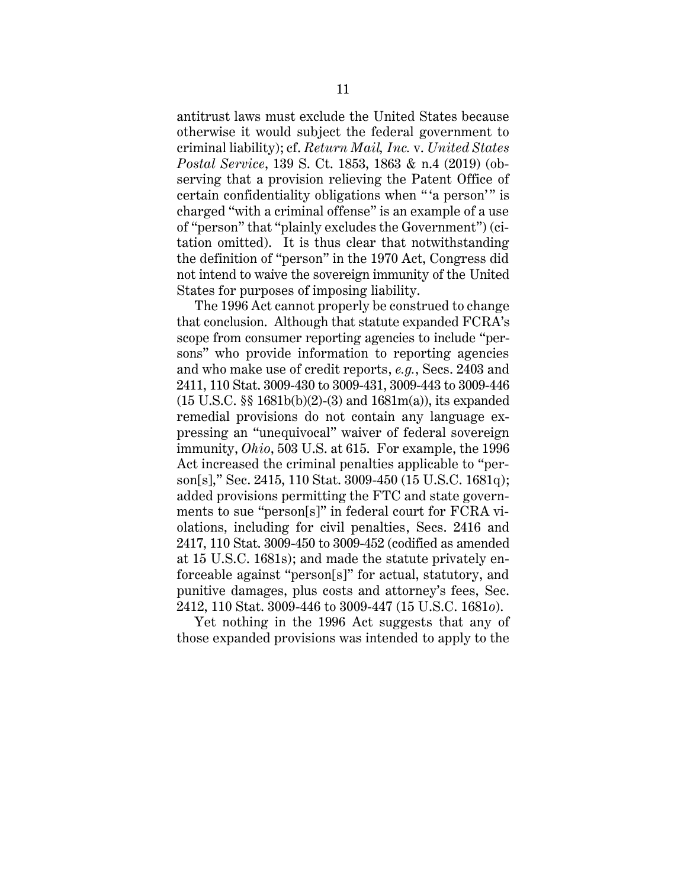antitrust laws must exclude the United States because otherwise it would subject the federal government to criminal liability); cf. *Return Mail, Inc.* v. *United States Postal Service*, 139 S. Ct. 1853, 1863 & n.4 (2019) (observing that a provision relieving the Patent Office of certain confidentiality obligations when "'a person'" is charged "with a criminal offense" is an example of a use of "person" that "plainly excludes the Government") (citation omitted). It is thus clear that notwithstanding the definition of "person" in the 1970 Act, Congress did not intend to waive the sovereign immunity of the United States for purposes of imposing liability.

The 1996 Act cannot properly be construed to change that conclusion. Although that statute expanded FCRA's scope from consumer reporting agencies to include "persons" who provide information to reporting agencies and who make use of credit reports, *e.g.*, Secs. 2403 and 2411, 110 Stat. 3009-430 to 3009-431, 3009-443 to 3009-446 (15 U.S.C. §§ 1681b(b)(2)-(3) and 1681m(a)), its expanded remedial provisions do not contain any language expressing an "unequivocal" waiver of federal sovereign immunity, *Ohio*, 503 U.S. at 615. For example, the 1996 Act increased the criminal penalties applicable to "person[s]," Sec. 2415, 110 Stat. 3009-450 (15 U.S.C. 1681q); added provisions permitting the FTC and state governments to sue "person[s]" in federal court for FCRA violations, including for civil penalties, Secs. 2416 and 2417, 110 Stat. 3009-450 to 3009-452 (codified as amended at 15 U.S.C. 1681s); and made the statute privately enforceable against "person[s]" for actual, statutory, and punitive damages, plus costs and attorney's fees, Sec. 2412, 110 Stat. 3009-446 to 3009-447 (15 U.S.C. 1681*o*).

Yet nothing in the 1996 Act suggests that any of those expanded provisions was intended to apply to the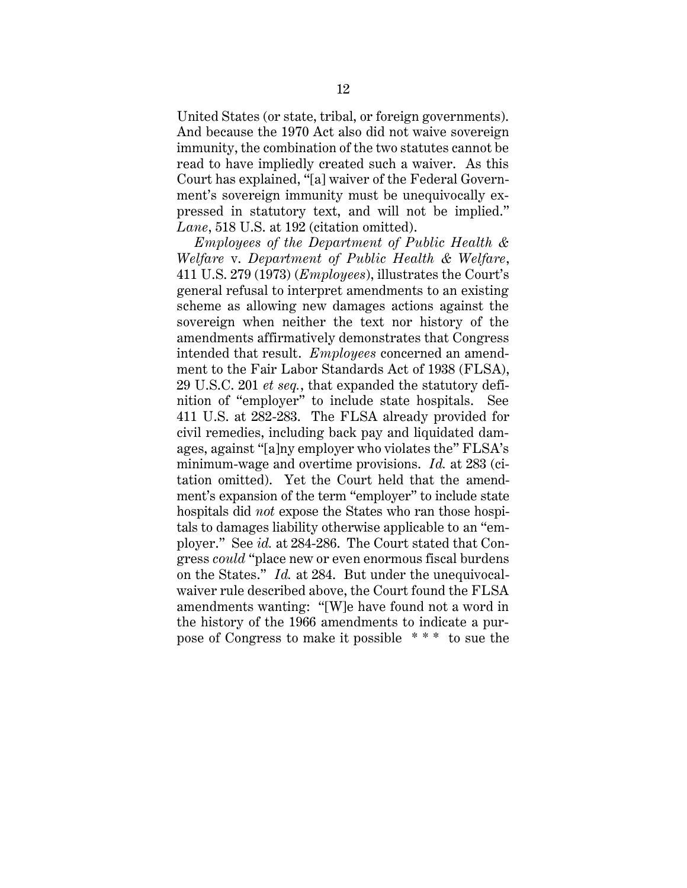United States (or state, tribal, or foreign governments). And because the 1970 Act also did not waive sovereign immunity, the combination of the two statutes cannot be read to have impliedly created such a waiver. As this Court has explained, "[a] waiver of the Federal Government's sovereign immunity must be unequivocally expressed in statutory text, and will not be implied." *Lane*, 518 U.S. at 192 (citation omitted).

*Employees of the Department of Public Health & Welfare* v. *Department of Public Health & Welfare*, 411 U.S. 279 (1973) (*Employees*), illustrates the Court's general refusal to interpret amendments to an existing scheme as allowing new damages actions against the sovereign when neither the text nor history of the amendments affirmatively demonstrates that Congress intended that result. *Employees* concerned an amendment to the Fair Labor Standards Act of 1938 (FLSA), 29 U.S.C. 201 *et seq.*, that expanded the statutory definition of "employer" to include state hospitals. See 411 U.S. at 282-283. The FLSA already provided for civil remedies, including back pay and liquidated damages, against "[a]ny employer who violates the" FLSA's minimum-wage and overtime provisions. *Id.* at 283 (citation omitted). Yet the Court held that the amendment's expansion of the term "employer" to include state hospitals did *not* expose the States who ran those hospitals to damages liability otherwise applicable to an "employer." See *id.* at 284-286. The Court stated that Congress *could* "place new or even enormous fiscal burdens on the States." *Id.* at 284. But under the unequivocalwaiver rule described above, the Court found the FLSA amendments wanting: "[W]e have found not a word in the history of the 1966 amendments to indicate a purpose of Congress to make it possible \* \* \* to sue the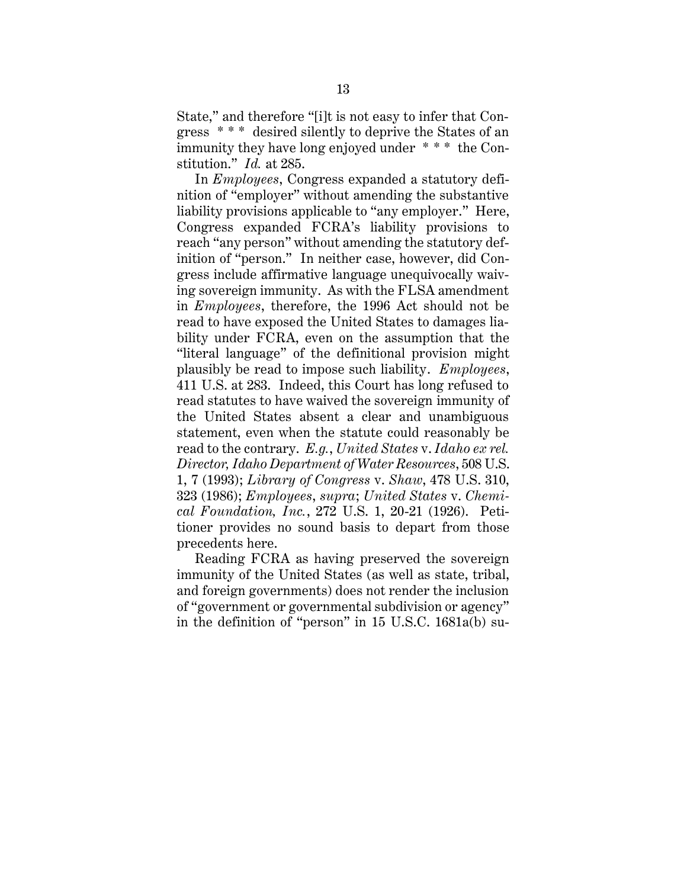State," and therefore "[i]t is not easy to infer that Congress \* \* \* desired silently to deprive the States of an immunity they have long enjoyed under \* \* \* the Constitution." *Id.* at 285.

In *Employees*, Congress expanded a statutory definition of "employer" without amending the substantive liability provisions applicable to "any employer." Here, Congress expanded FCRA's liability provisions to reach "any person" without amending the statutory definition of "person." In neither case, however, did Congress include affirmative language unequivocally waiving sovereign immunity. As with the FLSA amendment in *Employees*, therefore, the 1996 Act should not be read to have exposed the United States to damages liability under FCRA, even on the assumption that the "literal language" of the definitional provision might plausibly be read to impose such liability. *Employees*, 411 U.S. at 283. Indeed, this Court has long refused to read statutes to have waived the sovereign immunity of the United States absent a clear and unambiguous statement, even when the statute could reasonably be read to the contrary. *E.g.*, *United States* v. *Idaho ex rel. Director, Idaho Department of Water Resources*, 508 U.S. 1, 7 (1993); *Library of Congress* v. *Shaw*, 478 U.S. 310, 323 (1986); *Employees*, *supra*; *United States* v. *Chemical Foundation, Inc.*, 272 U.S. 1, 20-21 (1926). Petitioner provides no sound basis to depart from those precedents here.

Reading FCRA as having preserved the sovereign immunity of the United States (as well as state, tribal, and foreign governments) does not render the inclusion of "government or governmental subdivision or agency" in the definition of "person" in 15 U.S.C. 1681a(b) su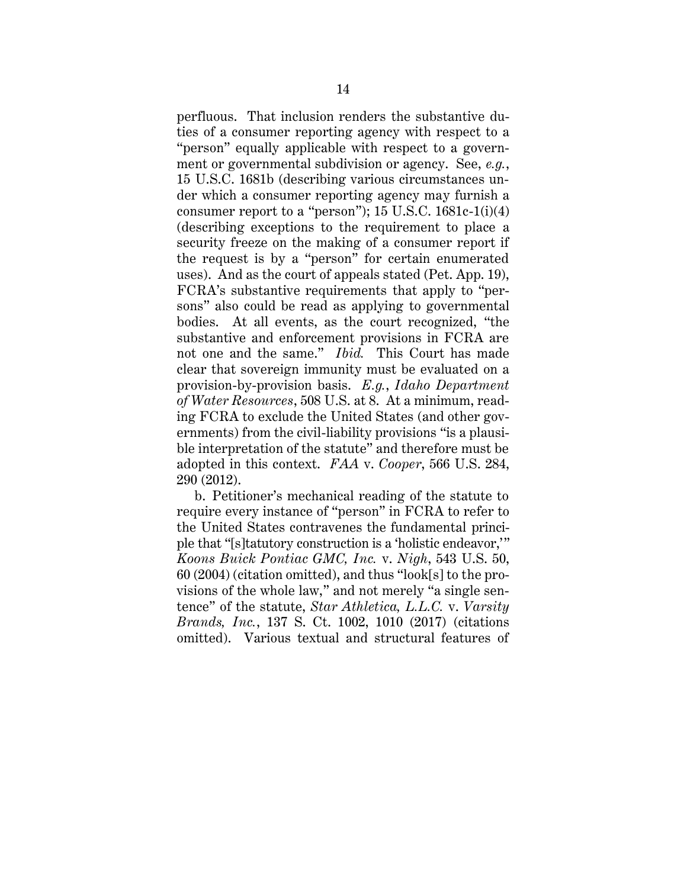perfluous. That inclusion renders the substantive duties of a consumer reporting agency with respect to a "person" equally applicable with respect to a government or governmental subdivision or agency. See, *e.g.*, 15 U.S.C. 1681b (describing various circumstances under which a consumer reporting agency may furnish a consumer report to a "person"); 15 U.S.C. 1681c-1(i)(4) (describing exceptions to the requirement to place a security freeze on the making of a consumer report if the request is by a "person" for certain enumerated uses). And as the court of appeals stated (Pet. App. 19), FCRA's substantive requirements that apply to "persons" also could be read as applying to governmental bodies. At all events, as the court recognized, "the substantive and enforcement provisions in FCRA are not one and the same." *Ibid.* This Court has made clear that sovereign immunity must be evaluated on a provision-by-provision basis. *E.g.*, *Idaho Department of Water Resources*, 508 U.S. at 8. At a minimum, reading FCRA to exclude the United States (and other governments) from the civil-liability provisions "is a plausible interpretation of the statute" and therefore must be adopted in this context. *FAA* v. *Cooper*, 566 U.S. 284, 290 (2012).

b. Petitioner's mechanical reading of the statute to require every instance of "person" in FCRA to refer to the United States contravenes the fundamental principle that "[s]tatutory construction is a 'holistic endeavor,'" *Koons Buick Pontiac GMC, Inc.* v. *Nigh*, 543 U.S. 50, 60 (2004) (citation omitted), and thus "look[s] to the provisions of the whole law," and not merely "a single sentence" of the statute, *Star Athletica, L.L.C.* v. *Varsity Brands, Inc.*, 137 S. Ct. 1002, 1010 (2017) (citations omitted). Various textual and structural features of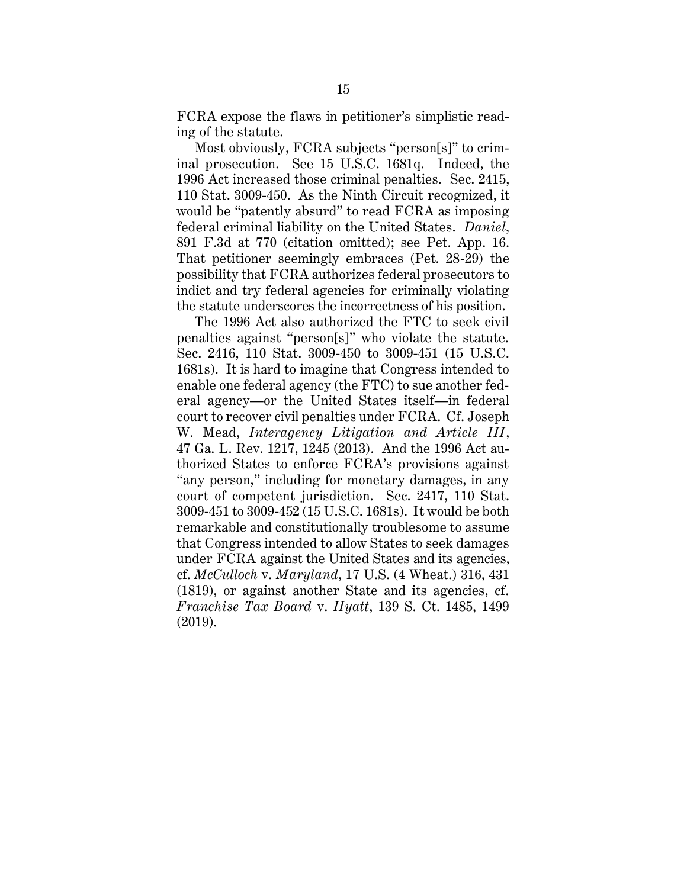FCRA expose the flaws in petitioner's simplistic reading of the statute.

Most obviously, FCRA subjects "person[s]" to criminal prosecution. See 15 U.S.C. 1681q. Indeed, the 1996 Act increased those criminal penalties. Sec. 2415, 110 Stat. 3009-450. As the Ninth Circuit recognized, it would be "patently absurd" to read FCRA as imposing federal criminal liability on the United States. *Daniel*, 891 F.3d at 770 (citation omitted); see Pet. App. 16. That petitioner seemingly embraces (Pet. 28-29) the possibility that FCRA authorizes federal prosecutors to indict and try federal agencies for criminally violating the statute underscores the incorrectness of his position.

The 1996 Act also authorized the FTC to seek civil penalties against "person[s]" who violate the statute. Sec. 2416, 110 Stat. 3009-450 to 3009-451 (15 U.S.C. 1681s). It is hard to imagine that Congress intended to enable one federal agency (the FTC) to sue another federal agency—or the United States itself—in federal court to recover civil penalties under FCRA. Cf. Joseph W. Mead, *Interagency Litigation and Article III*, 47 Ga. L. Rev. 1217, 1245 (2013). And the 1996 Act authorized States to enforce FCRA's provisions against "any person," including for monetary damages, in any court of competent jurisdiction. Sec. 2417, 110 Stat. 3009-451 to 3009-452 (15 U.S.C. 1681s). It would be both remarkable and constitutionally troublesome to assume that Congress intended to allow States to seek damages under FCRA against the United States and its agencies, cf. *McCulloch* v. *Maryland*, 17 U.S. (4 Wheat.) 316, 431 (1819), or against another State and its agencies, cf. *Franchise Tax Board* v. *Hyatt*, 139 S. Ct. 1485, 1499 (2019).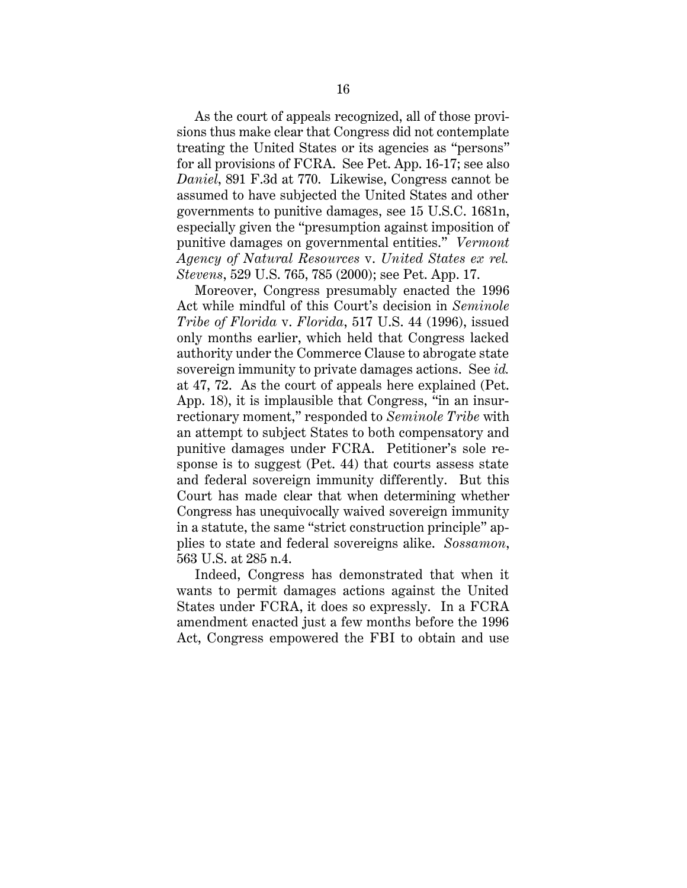As the court of appeals recognized, all of those provisions thus make clear that Congress did not contemplate treating the United States or its agencies as "persons" for all provisions of FCRA. See Pet. App. 16-17; see also *Daniel*, 891 F.3d at 770. Likewise, Congress cannot be assumed to have subjected the United States and other governments to punitive damages, see 15 U.S.C. 1681n, especially given the "presumption against imposition of punitive damages on governmental entities." *Vermont Agency of Natural Resources* v. *United States ex rel. Stevens*, 529 U.S. 765, 785 (2000); see Pet. App. 17.

Moreover, Congress presumably enacted the 1996 Act while mindful of this Court's decision in *Seminole Tribe of Florida* v. *Florida*, 517 U.S. 44 (1996), issued only months earlier, which held that Congress lacked authority under the Commerce Clause to abrogate state sovereign immunity to private damages actions. See *id.* at 47, 72. As the court of appeals here explained (Pet. App. 18), it is implausible that Congress, "in an insurrectionary moment," responded to *Seminole Tribe* with an attempt to subject States to both compensatory and punitive damages under FCRA. Petitioner's sole response is to suggest (Pet. 44) that courts assess state and federal sovereign immunity differently. But this Court has made clear that when determining whether Congress has unequivocally waived sovereign immunity in a statute, the same "strict construction principle" applies to state and federal sovereigns alike. *Sossamon*, 563 U.S. at 285 n.4.

Indeed, Congress has demonstrated that when it wants to permit damages actions against the United States under FCRA, it does so expressly. In a FCRA amendment enacted just a few months before the 1996 Act, Congress empowered the FBI to obtain and use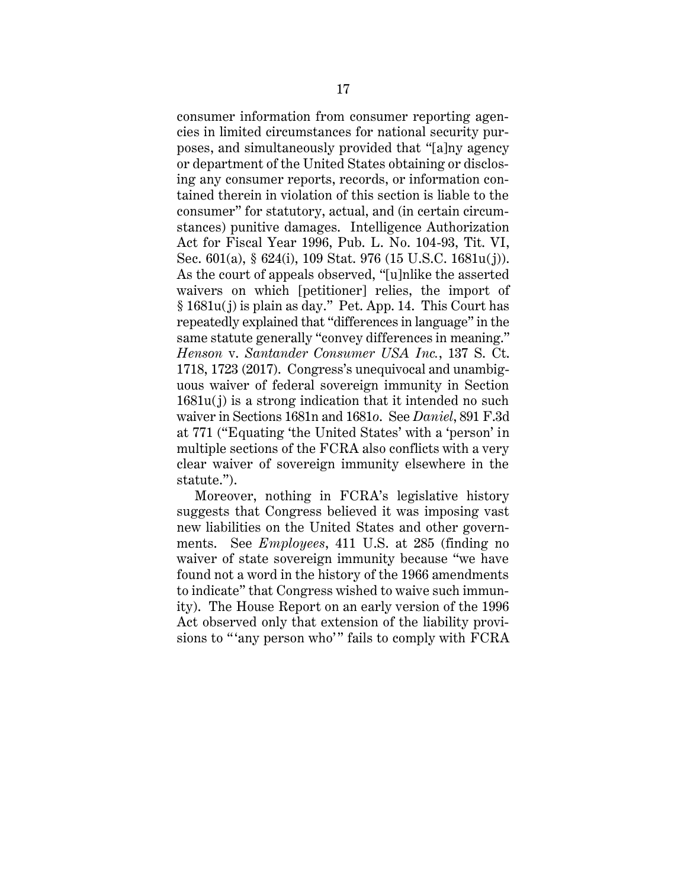consumer information from consumer reporting agencies in limited circumstances for national security purposes, and simultaneously provided that "[a]ny agency or department of the United States obtaining or disclosing any consumer reports, records, or information contained therein in violation of this section is liable to the consumer" for statutory, actual, and (in certain circumstances) punitive damages. Intelligence Authorization Act for Fiscal Year 1996, Pub. L. No. 104-93, Tit. VI, Sec. 601(a), § 624(i), 109 Stat. 976 (15 U.S.C. 1681u(j)). As the court of appeals observed, "[u]nlike the asserted waivers on which [petitioner] relies, the import of § 1681u(j) is plain as day." Pet. App. 14. This Court has repeatedly explained that "differences in language" in the same statute generally "convey differences in meaning." *Henson* v. *Santander Consumer USA Inc.*, 137 S. Ct. 1718, 1723 (2017). Congress's unequivocal and unambiguous waiver of federal sovereign immunity in Section 1681u(j) is a strong indication that it intended no such waiver in Sections 1681n and 1681*o*. See *Daniel*, 891 F.3d at 771 ("Equating 'the United States' with a 'person' in multiple sections of the FCRA also conflicts with a very clear waiver of sovereign immunity elsewhere in the statute.").

Moreover, nothing in FCRA's legislative history suggests that Congress believed it was imposing vast new liabilities on the United States and other governments. See *Employees*, 411 U.S. at 285 (finding no waiver of state sovereign immunity because "we have found not a word in the history of the 1966 amendments to indicate" that Congress wished to waive such immunity). The House Report on an early version of the 1996 Act observed only that extension of the liability provisions to "'any person who'" fails to comply with FCRA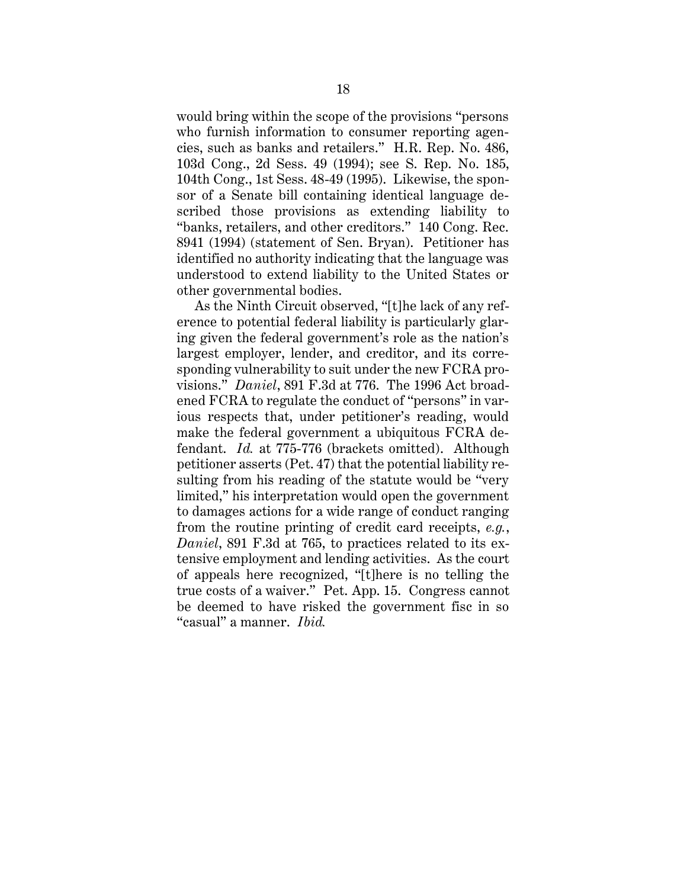would bring within the scope of the provisions "persons who furnish information to consumer reporting agencies, such as banks and retailers." H.R. Rep. No. 486, 103d Cong., 2d Sess. 49 (1994); see S. Rep. No. 185, 104th Cong., 1st Sess. 48-49 (1995). Likewise, the sponsor of a Senate bill containing identical language described those provisions as extending liability to "banks, retailers, and other creditors." 140 Cong. Rec. 8941 (1994) (statement of Sen. Bryan). Petitioner has identified no authority indicating that the language was understood to extend liability to the United States or other governmental bodies.

As the Ninth Circuit observed, "[t]he lack of any reference to potential federal liability is particularly glaring given the federal government's role as the nation's largest employer, lender, and creditor, and its corresponding vulnerability to suit under the new FCRA provisions." *Daniel*, 891 F.3d at 776. The 1996 Act broadened FCRA to regulate the conduct of "persons" in various respects that, under petitioner's reading, would make the federal government a ubiquitous FCRA defendant. *Id.* at 775-776 (brackets omitted). Although petitioner asserts (Pet. 47) that the potential liability resulting from his reading of the statute would be "very limited," his interpretation would open the government to damages actions for a wide range of conduct ranging from the routine printing of credit card receipts, *e.g.*, *Daniel*, 891 F.3d at 765, to practices related to its extensive employment and lending activities. As the court of appeals here recognized, "[t]here is no telling the true costs of a waiver." Pet. App. 15. Congress cannot be deemed to have risked the government fisc in so "casual" a manner. *Ibid.*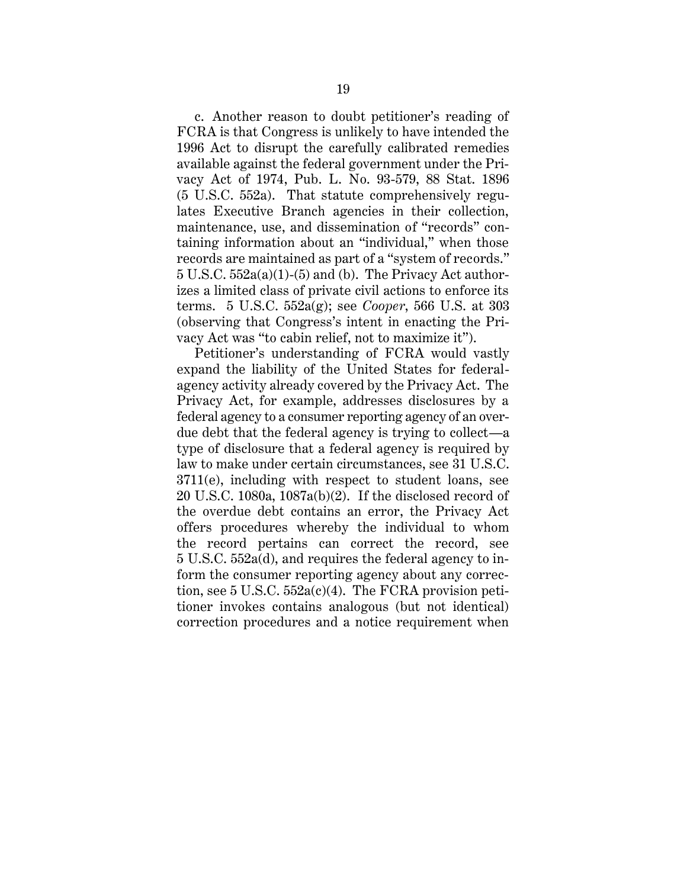c. Another reason to doubt petitioner's reading of FCRA is that Congress is unlikely to have intended the 1996 Act to disrupt the carefully calibrated remedies available against the federal government under the Privacy Act of 1974, Pub. L. No. 93-579, 88 Stat. 1896 (5 U.S.C. 552a). That statute comprehensively regulates Executive Branch agencies in their collection, maintenance, use, and dissemination of "records" containing information about an "individual," when those records are maintained as part of a "system of records."  $5 \text{ U.S.C. } 552a(a)(1)$ -(5) and (b). The Privacy Act authorizes a limited class of private civil actions to enforce its terms. 5 U.S.C. 552a(g); see *Cooper*, 566 U.S. at 303 (observing that Congress's intent in enacting the Privacy Act was "to cabin relief, not to maximize it").

Petitioner's understanding of FCRA would vastly expand the liability of the United States for federalagency activity already covered by the Privacy Act. The Privacy Act, for example, addresses disclosures by a federal agency to a consumer reporting agency of an overdue debt that the federal agency is trying to collect—a type of disclosure that a federal agency is required by law to make under certain circumstances, see 31 U.S.C. 3711(e), including with respect to student loans, see 20 U.S.C. 1080a, 1087a(b)(2). If the disclosed record of the overdue debt contains an error, the Privacy Act offers procedures whereby the individual to whom the record pertains can correct the record, see 5 U.S.C. 552a(d), and requires the federal agency to inform the consumer reporting agency about any correction, see 5 U.S.C.  $552a(c)(4)$ . The FCRA provision petitioner invokes contains analogous (but not identical) correction procedures and a notice requirement when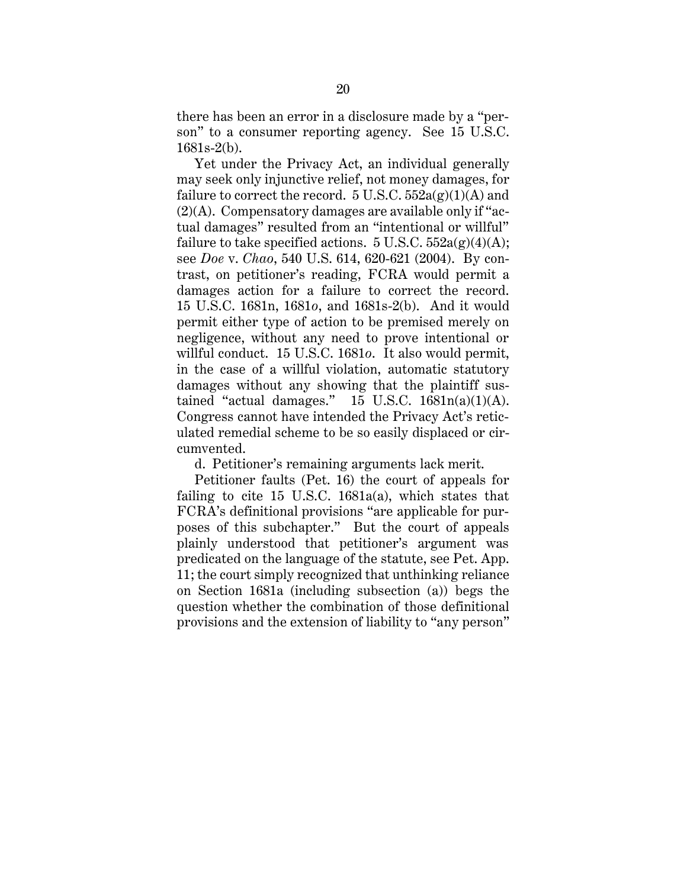there has been an error in a disclosure made by a "person" to a consumer reporting agency. See 15 U.S.C. 1681s-2(b).

Yet under the Privacy Act, an individual generally may seek only injunctive relief, not money damages, for failure to correct the record.  $5 \text{ U.S.C. } 552a(g)(1)(A)$  and (2)(A). Compensatory damages are available only if "actual damages" resulted from an "intentional or willful" failure to take specified actions. 5 U.S.C.  $552a(g)(4)(A)$ ; see *Doe* v. *Chao*, 540 U.S. 614, 620-621 (2004). By contrast, on petitioner's reading, FCRA would permit a damages action for a failure to correct the record. 15 U.S.C. 1681n, 1681*o*, and 1681s-2(b). And it would permit either type of action to be premised merely on negligence, without any need to prove intentional or willful conduct. 15 U.S.C. 1681*o*. It also would permit, in the case of a willful violation, automatic statutory damages without any showing that the plaintiff sustained "actual damages."  $15 \text{ U.S.C. } 1681n(a)(1)(\text{A}).$ Congress cannot have intended the Privacy Act's reticulated remedial scheme to be so easily displaced or circumvented.

d. Petitioner's remaining arguments lack merit.

Petitioner faults (Pet. 16) the court of appeals for failing to cite 15 U.S.C.  $1681a(a)$ , which states that FCRA's definitional provisions "are applicable for purposes of this subchapter." But the court of appeals plainly understood that petitioner's argument was predicated on the language of the statute, see Pet. App. 11; the court simply recognized that unthinking reliance on Section 1681a (including subsection (a)) begs the question whether the combination of those definitional provisions and the extension of liability to "any person"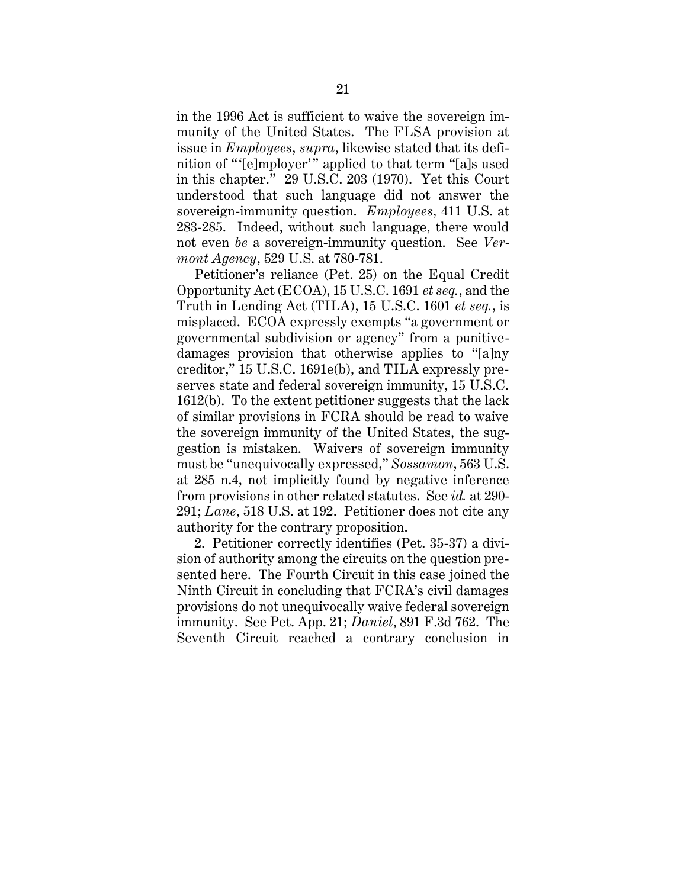in the 1996 Act is sufficient to waive the sovereign immunity of the United States. The FLSA provision at issue in *Employees*, *supra*, likewise stated that its definition of " '[e]mployer'" applied to that term "[a]s used in this chapter." 29 U.S.C. 203 (1970). Yet this Court understood that such language did not answer the sovereign-immunity question. *Employees*, 411 U.S. at 283-285. Indeed, without such language, there would not even *be* a sovereign-immunity question. See *Vermont Agency*, 529 U.S. at 780-781.

Petitioner's reliance (Pet. 25) on the Equal Credit Opportunity Act (ECOA), 15 U.S.C. 1691 *et seq.*, and the Truth in Lending Act (TILA), 15 U.S.C. 1601 *et seq.*, is misplaced. ECOA expressly exempts "a government or governmental subdivision or agency" from a punitivedamages provision that otherwise applies to "[a]ny creditor," 15 U.S.C. 1691e(b), and TILA expressly preserves state and federal sovereign immunity, 15 U.S.C. 1612(b). To the extent petitioner suggests that the lack of similar provisions in FCRA should be read to waive the sovereign immunity of the United States, the suggestion is mistaken. Waivers of sovereign immunity must be "unequivocally expressed," *Sossamon*, 563 U.S. at 285 n.4, not implicitly found by negative inference from provisions in other related statutes. See *id.* at 290- 291; *Lane*, 518 U.S. at 192. Petitioner does not cite any authority for the contrary proposition.

2. Petitioner correctly identifies (Pet. 35-37) a division of authority among the circuits on the question presented here. The Fourth Circuit in this case joined the Ninth Circuit in concluding that FCRA's civil damages provisions do not unequivocally waive federal sovereign immunity. See Pet. App. 21; *Daniel*, 891 F.3d 762. The Seventh Circuit reached a contrary conclusion in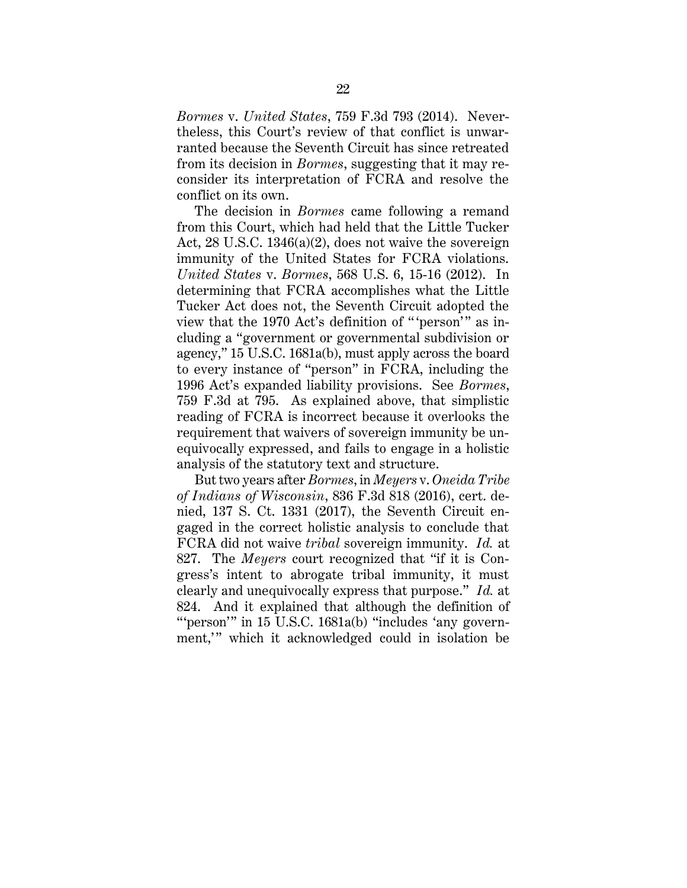*Bormes* v. *United States*, 759 F.3d 793 (2014). Nevertheless, this Court's review of that conflict is unwarranted because the Seventh Circuit has since retreated from its decision in *Bormes*, suggesting that it may reconsider its interpretation of FCRA and resolve the conflict on its own.

The decision in *Bormes* came following a remand from this Court, which had held that the Little Tucker Act, 28 U.S.C. 1346(a)(2), does not waive the sovereign immunity of the United States for FCRA violations. *United States* v. *Bormes*, 568 U.S. 6, 15-16 (2012). In determining that FCRA accomplishes what the Little Tucker Act does not, the Seventh Circuit adopted the view that the 1970 Act's definition of "'person'" as including a "government or governmental subdivision or agency," 15 U.S.C. 1681a(b), must apply across the board to every instance of "person" in FCRA, including the 1996 Act's expanded liability provisions. See *Bormes*, 759 F.3d at 795. As explained above, that simplistic reading of FCRA is incorrect because it overlooks the requirement that waivers of sovereign immunity be unequivocally expressed, and fails to engage in a holistic analysis of the statutory text and structure.

But two years after *Bormes*, in *Meyers* v. *Oneida Tribe of Indians of Wisconsin*, 836 F.3d 818 (2016), cert. denied, 137 S. Ct. 1331 (2017), the Seventh Circuit engaged in the correct holistic analysis to conclude that FCRA did not waive *tribal* sovereign immunity. *Id.* at 827. The *Meyers* court recognized that "if it is Congress's intent to abrogate tribal immunity, it must clearly and unequivocally express that purpose." *Id.* at 824. And it explained that although the definition of """" person" in 15 U.S.C. 1681a(b) "includes 'any government," which it acknowledged could in isolation be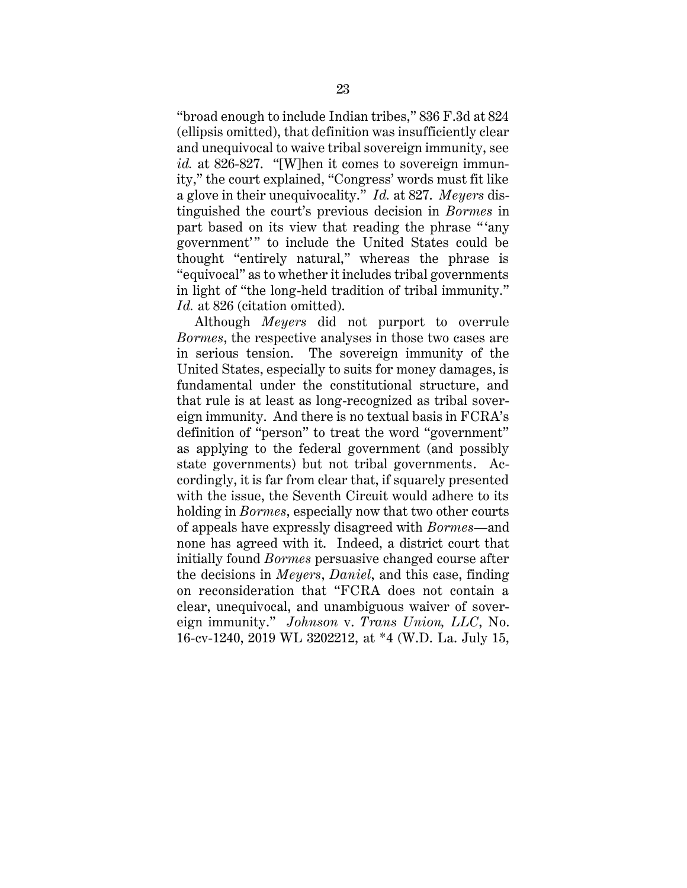"broad enough to include Indian tribes," 836 F.3d at 824 (ellipsis omitted), that definition was insufficiently clear and unequivocal to waive tribal sovereign immunity, see *id.* at 826-827. "[W]hen it comes to sovereign immunity," the court explained, "Congress' words must fit like a glove in their unequivocality." *Id.* at 827. *Meyers* distinguished the court's previous decision in *Bormes* in part based on its view that reading the phrase " 'any government'" to include the United States could be thought "entirely natural," whereas the phrase is "equivocal" as to whether it includes tribal governments in light of "the long-held tradition of tribal immunity." *Id.* at 826 (citation omitted).

Although *Meyers* did not purport to overrule *Bormes*, the respective analyses in those two cases are in serious tension. The sovereign immunity of the United States, especially to suits for money damages, is fundamental under the constitutional structure, and that rule is at least as long-recognized as tribal sovereign immunity. And there is no textual basis in FCRA's definition of "person" to treat the word "government" as applying to the federal government (and possibly state governments) but not tribal governments. Accordingly, it is far from clear that, if squarely presented with the issue, the Seventh Circuit would adhere to its holding in *Bormes*, especially now that two other courts of appeals have expressly disagreed with *Bormes*—and none has agreed with it. Indeed, a district court that initially found *Bormes* persuasive changed course after the decisions in *Meyers*, *Daniel*, and this case, finding on reconsideration that "FCRA does not contain a clear, unequivocal, and unambiguous waiver of sovereign immunity." *Johnson* v. *Trans Union, LLC*, No. 16-cv-1240, 2019 WL 3202212, at \*4 (W.D. La. July 15,